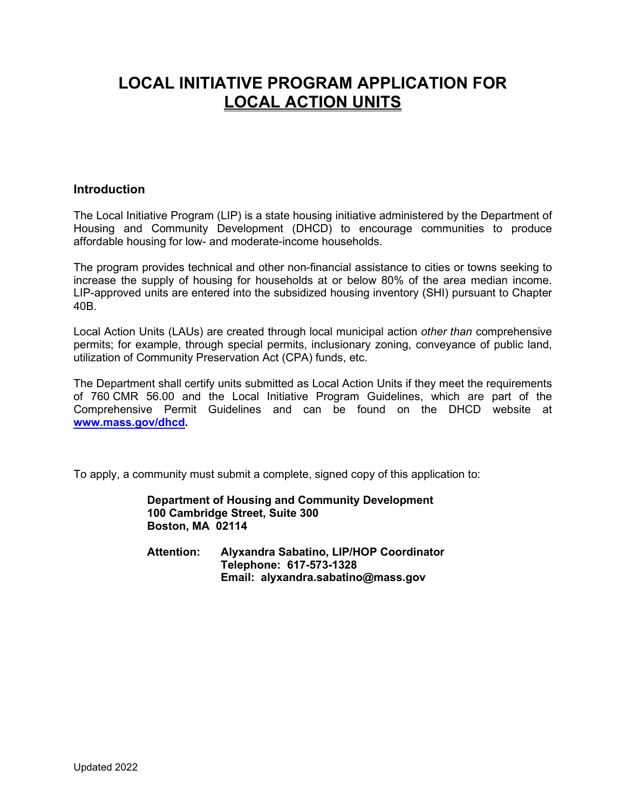# **LOCAL INITIATIVE PROGRAM APPLICATION FOR LOCAL ACTION UNITS**

#### **Introduction**

The Local Initiative Program (LIP) is a state housing initiative administered by the Department of Housing and Community Development (DHCD) to encourage communities to produce affordable housing for low- and moderate-income households.

The program provides technical and other non-financial assistance to cities or towns seeking to increase the supply of housing for households at or below 80% of the area median income. LIP-approved units are entered into the subsidized housing inventory (SHI) pursuant to Chapter 40B.

Local Action Units (LAUs) are created through local municipal action *other than* comprehensive permits; for example, through special permits, inclusionary zoning, conveyance of public land, utilization of Community Preservation Act (CPA) funds, etc.

The Department shall certify units submitted as Local Action Units if they meet the requirements of 760 CMR 56.00 and the Local Initiative Program Guidelines, which are part of the Comprehensive Permit Guidelines and can be found on the DHCD website at **[www.mass.gov/dhcd.](http://www.mass.gov/dhcd)**

To apply, a community must submit a complete, signed copy of this application to:

**Department of Housing and Community Development 100 Cambridge Street, Suite 300 Boston, MA 02114**

**Attention: Alyxandra Sabatino, LIP/HOP Coordinator Telephone: 617-573-1328 Email: alyxandra.sabatino@mass.gov**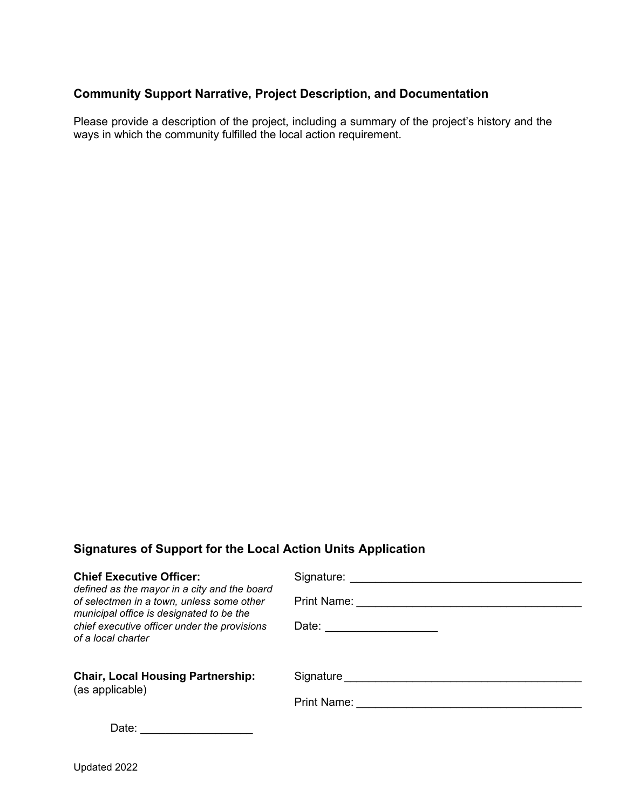#### **Community Support Narrative, Project Description, and Documentation**

Please provide a description of the project, including a summary of the project's history and the ways in which the community fulfilled the local action requirement.

## **Signatures of Support for the Local Action Units Application**

| <b>Chief Executive Officer:</b>                                                                                                                                                                             | Signature:            |
|-------------------------------------------------------------------------------------------------------------------------------------------------------------------------------------------------------------|-----------------------|
| defined as the mayor in a city and the board<br>of selectmen in a town, unless some other<br>municipal office is designated to be the<br>chief executive officer under the provisions<br>of a local charter | Print Name:           |
|                                                                                                                                                                                                             | Date: _______________ |
| <b>Chair, Local Housing Partnership:</b><br>(as applicable)                                                                                                                                                 | Signature             |
|                                                                                                                                                                                                             | Print Name:           |
| Date:                                                                                                                                                                                                       |                       |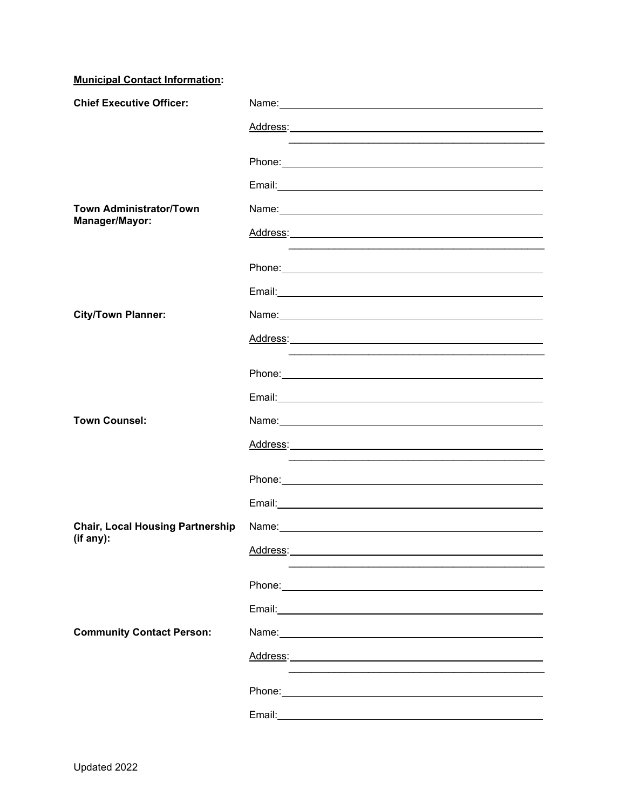**Municipal Contact Information:**

| <b>Chief Executive Officer:</b>         |                                                                                                                                                                                                                                  |
|-----------------------------------------|----------------------------------------------------------------------------------------------------------------------------------------------------------------------------------------------------------------------------------|
|                                         |                                                                                                                                                                                                                                  |
|                                         |                                                                                                                                                                                                                                  |
|                                         |                                                                                                                                                                                                                                  |
|                                         |                                                                                                                                                                                                                                  |
| <b>Town Administrator/Town</b>          |                                                                                                                                                                                                                                  |
| Manager/Mayor:                          |                                                                                                                                                                                                                                  |
|                                         | Phone: 2008 2010 2020 2020 2020 2021 2021 2022 2022 2022 2022 2022 2022 2022 2022 2022 2022 2022 2022 2022 20                                                                                                                    |
|                                         |                                                                                                                                                                                                                                  |
|                                         |                                                                                                                                                                                                                                  |
| <b>City/Town Planner:</b>               |                                                                                                                                                                                                                                  |
|                                         |                                                                                                                                                                                                                                  |
|                                         |                                                                                                                                                                                                                                  |
|                                         | Email: No. 2014 - Andrea Maria Maria Maria Maria Maria Maria Maria Maria Maria Maria Maria Maria Maria Maria M<br>No. 2014 - Andrea Maria Maria Maria Maria Maria Maria Maria Maria Maria Maria Maria Maria Maria Maria Maria Ma |
| <b>Town Counsel:</b>                    |                                                                                                                                                                                                                                  |
|                                         | Name: Name: Name: Name: Name: Name: Name: Name: Name: Name: Name: Name: Name: Name: Name: Name: Name: Name: Name: Name: Name: Name: Name: Name: Name: Name: Name: Name: Name: Name: Name: Name: Name: Name: Name: Name: Name:    |
|                                         |                                                                                                                                                                                                                                  |
|                                         |                                                                                                                                                                                                                                  |
|                                         |                                                                                                                                                                                                                                  |
| <b>Chair, Local Housing Partnership</b> |                                                                                                                                                                                                                                  |
| (if any):                               | Address:                                                                                                                                                                                                                         |
|                                         |                                                                                                                                                                                                                                  |
|                                         |                                                                                                                                                                                                                                  |
|                                         |                                                                                                                                                                                                                                  |
| <b>Community Contact Person:</b>        |                                                                                                                                                                                                                                  |
|                                         | Address: Analysis and the contract of the contract of the contract of the contract of the contract of the contract of the contract of the contract of the contract of the contract of the contract of the contract of the cont   |
|                                         |                                                                                                                                                                                                                                  |
|                                         |                                                                                                                                                                                                                                  |
|                                         |                                                                                                                                                                                                                                  |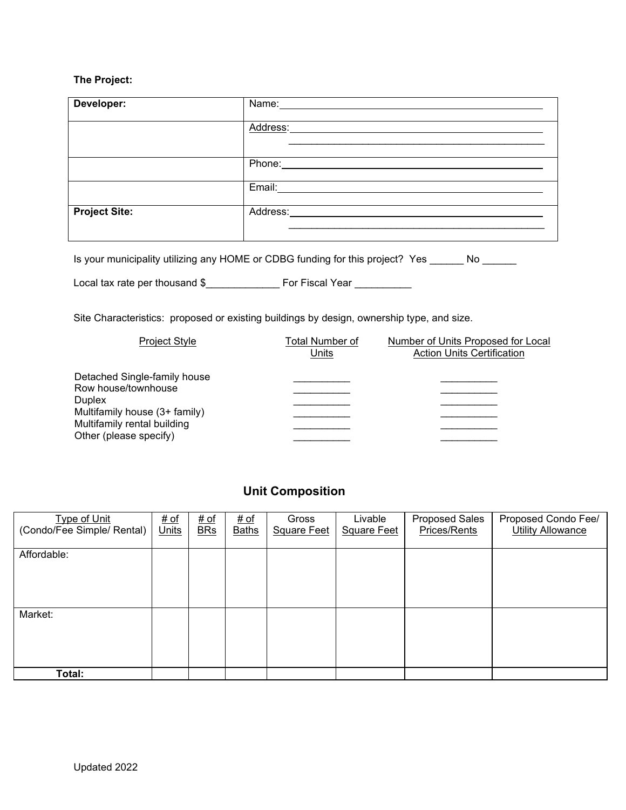## **The Project:**

| Developer:                                                                                |                                                                                                                                               |                           | Name: Name:          |                                  |                               |                                                                                                               |                                                 |  |  |
|-------------------------------------------------------------------------------------------|-----------------------------------------------------------------------------------------------------------------------------------------------|---------------------------|----------------------|----------------------------------|-------------------------------|---------------------------------------------------------------------------------------------------------------|-------------------------------------------------|--|--|
|                                                                                           |                                                                                                                                               |                           |                      | Address:                         |                               |                                                                                                               |                                                 |  |  |
|                                                                                           |                                                                                                                                               |                           |                      |                                  |                               |                                                                                                               |                                                 |  |  |
|                                                                                           |                                                                                                                                               |                           |                      |                                  |                               | Email: Email: And All And All And All And All And All And All And All And All And All And All And All And All |                                                 |  |  |
| <b>Project Site:</b>                                                                      |                                                                                                                                               |                           |                      |                                  |                               |                                                                                                               |                                                 |  |  |
|                                                                                           |                                                                                                                                               |                           |                      |                                  |                               | Is your municipality utilizing any HOME or CDBG funding for this project? Yes No                              |                                                 |  |  |
|                                                                                           |                                                                                                                                               |                           |                      |                                  |                               |                                                                                                               |                                                 |  |  |
| Site Characteristics: proposed or existing buildings by design, ownership type, and size. |                                                                                                                                               |                           |                      |                                  |                               |                                                                                                               |                                                 |  |  |
|                                                                                           | Project Style                                                                                                                                 |                           |                      | <b>Total Number of</b><br>Units  |                               | Number of Units Proposed for Local<br><b>Action Units Certification</b>                                       |                                                 |  |  |
| <b>Duplex</b>                                                                             | Detached Single-family house<br>Row house/townhouse<br>Multifamily house (3+ family)<br>Multifamily rental building<br>Other (please specify) |                           |                      | <u> 1990 - Johann Barnett, f</u> |                               |                                                                                                               |                                                 |  |  |
|                                                                                           |                                                                                                                                               |                           |                      | <b>Unit Composition</b>          |                               |                                                                                                               |                                                 |  |  |
| <b>Type of Unit</b><br>(Condo/Fee Simple/ Rental)                                         | # of<br>Units                                                                                                                                 | <u># of</u><br><b>BRs</b> | # of<br><b>Baths</b> | Gross<br><b>Square Feet</b>      | Livable<br><b>Square Feet</b> | Proposed Sales<br>Prices/Rents                                                                                | Proposed Condo Fee/<br><b>Utility Allowance</b> |  |  |
| Affordable:                                                                               |                                                                                                                                               |                           |                      |                                  |                               |                                                                                                               |                                                 |  |  |
| Market:                                                                                   |                                                                                                                                               |                           |                      |                                  |                               |                                                                                                               |                                                 |  |  |

**Total:**